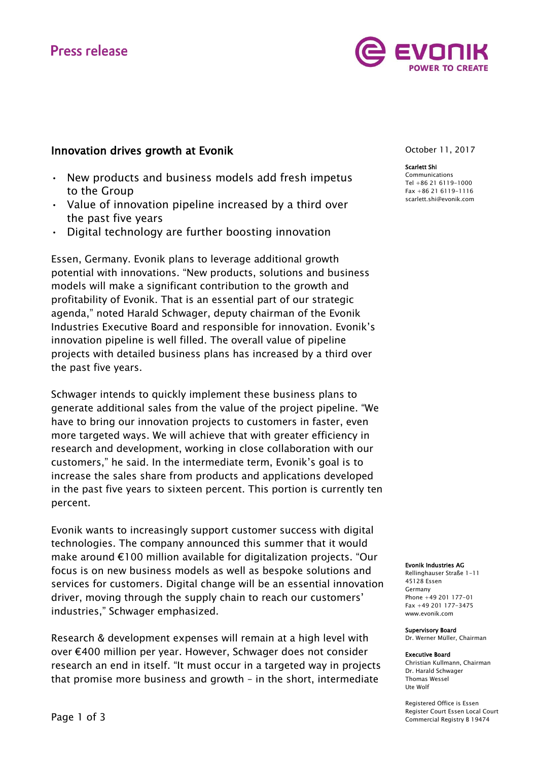# **Press release**



- New products and business models add fresh impetus to the Group
- Value of innovation pipeline increased by a third over the past five years
- Digital technology are further boosting innovation

Essen, Germany. Evonik plans to leverage additional growth potential with innovations. "New products, solutions and business models will make a significant contribution to the growth and profitability of Evonik. That is an essential part of our strategic agenda," noted Harald Schwager, deputy chairman of the Evonik Industries Executive Board and responsible for innovation. Evonik's innovation pipeline is well filled. The overall value of pipeline projects with detailed business plans has increased by a third over the past five years.

Schwager intends to quickly implement these business plans to generate additional sales from the value of the project pipeline. "We have to bring our innovation projects to customers in faster, even more targeted ways. We will achieve that with greater efficiency in research and development, working in close collaboration with our customers," he said. In the intermediate term, Evonik's goal is to increase the sales share from products and applications developed in the past five years to sixteen percent. This portion is currently ten percent.

Evonik wants to increasingly support customer success with digital technologies. The company announced this summer that it would make around €100 million available for digitalization projects. "Our focus is on new business models as well as bespoke solutions and services for customers. Digital change will be an essential innovation driver, moving through the supply chain to reach our customers' industries," Schwager emphasized.

Research & development expenses will remain at a high level with over €400 million per year. However, Schwager does not consider research an end in itself. "It must occur in a targeted way in projects that promise more business and growth – in the short, intermediate

October 11, 2017

### Scarlett Shi

Communications Tel +86 21 6119-1000 Fax +86 21 6119-1116 [scarlett.shi@evonik.com](mailto:scarlett.shi@evonik.com)

#### Evonik Industries AG

Rellinghauser Straße 1-11 45128 Essen Germany Phone +49 201 177-01 Fax +49 201 177-3475 www.evonik.com

#### Supervisory Board

Dr. Werner Müller, Chairman

#### Executive Board

Christian Kullmann, Chairman Dr. Harald Schwager Thomas Wessel Ute Wolf

Registered Office is Essen Register Court Essen Local Court Commercial Registry B 19474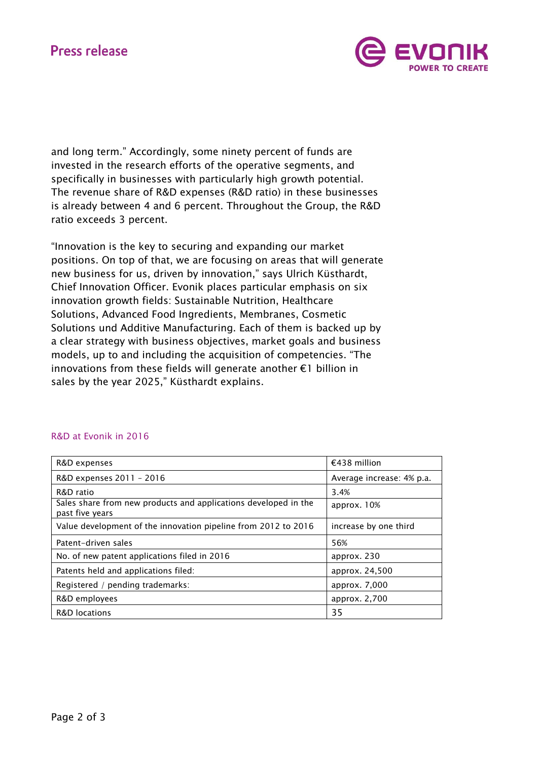# **Press release**



and long term." Accordingly, some ninety percent of funds are invested in the research efforts of the operative segments, and specifically in businesses with particularly high growth potential. The revenue share of R&D expenses (R&D ratio) in these businesses is already between 4 and 6 percent. Throughout the Group, the R&D ratio exceeds 3 percent.

"Innovation is the key to securing and expanding our market positions. On top of that, we are focusing on areas that will generate new business for us, driven by innovation," says Ulrich Küsthardt, Chief Innovation Officer. Evonik places particular emphasis on six innovation growth fields: Sustainable Nutrition, Healthcare Solutions, Advanced Food Ingredients, Membranes, Cosmetic Solutions und Additive Manufacturing. Each of them is backed up by a clear strategy with business objectives, market goals and business models, up to and including the acquisition of competencies. "The innovations from these fields will generate another €1 billion in sales by the year 2025," Küsthardt explains.

| R&D expenses                                                                       | €438 million              |
|------------------------------------------------------------------------------------|---------------------------|
| R&D expenses 2011 - 2016                                                           | Average increase: 4% p.a. |
| R&D ratio                                                                          | 3.4%                      |
| Sales share from new products and applications developed in the<br>past five years | approx. $10%$             |
| Value development of the innovation pipeline from 2012 to 2016                     | increase by one third     |
| Patent-driven sales                                                                | 56%                       |
| No. of new patent applications filed in 2016                                       | approx. 230               |
| Patents held and applications filed:                                               | approx. 24,500            |
| Registered / pending trademarks:                                                   | approx. 7,000             |
| R&D employees                                                                      | approx. 2,700             |
| R&D locations                                                                      | 35                        |

## R&D at Evonik in 2016